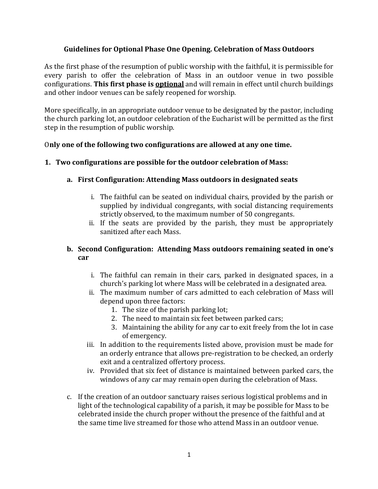### **Guidelines for Optional Phase One Opening. Celebration of Mass Outdoors**

As the first phase of the resumption of public worship with the faithful, it is permissible for every parish to offer the celebration of Mass in an outdoor venue in two possible configurations. This first phase is **optional** and will remain in effect until church buildings and other indoor venues can be safely reopened for worship.

More specifically, in an appropriate outdoor venue to be designated by the pastor, including the church parking lot, an outdoor celebration of the Eucharist will be permitted as the first step in the resumption of public worship.

### Only one of the following two configurations are allowed at any one time.

## **1. Two configurations are possible for the outdoor celebration of Mass:**

## **a. First Configuration: Attending Mass outdoors in designated seats**

- i. The faithful can be seated on individual chairs, provided by the parish or supplied by individual congregants, with social distancing requirements strictly observed, to the maximum number of 50 congregants.
- ii. If the seats are provided by the parish, they must be appropriately sanitized after each Mass.

## **b.** Second Configuration: Attending Mass outdoors remaining seated in one's **car**

- i. The faithful can remain in their cars, parked in designated spaces, in a church's parking lot where Mass will be celebrated in a designated area.
- ii. The maximum number of cars admitted to each celebration of Mass will depend upon three factors:
	- 1. The size of the parish parking lot;
	- 2. The need to maintain six feet between parked cars;
	- 3. Maintaining the ability for any car to exit freely from the lot in case of emergency.
- iii. In addition to the requirements listed above, provision must be made for an orderly entrance that allows pre-registration to be checked, an orderly exit and a centralized offertory process.
- iv. Provided that six feet of distance is maintained between parked cars, the windows of any car may remain open during the celebration of Mass.
- c. If the creation of an outdoor sanctuary raises serious logistical problems and in light of the technological capability of a parish, it may be possible for Mass to be celebrated inside the church proper without the presence of the faithful and at the same time live streamed for those who attend Mass in an outdoor venue.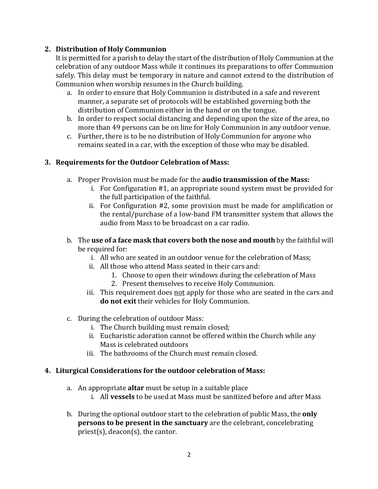## **2. Distribution of Holy Communion**

It is permitted for a parish to delay the start of the distribution of Holy Communion at the celebration of any outdoor Mass while it continues its preparations to offer Communion safely. This delay must be temporary in nature and cannot extend to the distribution of Communion when worship resumes in the Church building.

- a. In order to ensure that Holy Communion is distributed in a safe and reverent manner, a separate set of protocols will be established governing both the distribution of Communion either in the hand or on the tongue.
- b. In order to respect social distancing and depending upon the size of the area, no more than 49 persons can be on line for Holy Communion in any outdoor venue.
- c. Further, there is to be no distribution of Holy Communion for anyone who remains seated in a car, with the exception of those who may be disabled.

## **3. Requirements for the Outdoor Celebration of Mass:**

- a. Proper Provision must be made for the **audio transmission of the Mass:** 
	- i. For Configuration  $#1$ , an appropriate sound system must be provided for the full participation of the faithful.
	- ii. For Configuration #2, some provision must be made for amplification or the rental/purchase of a low-band FM transmitter system that allows the audio from Mass to be broadcast on a car radio.
- b. The use of a face mask that covers both the nose and mouth by the faithful will be required for:
	- i. All who are seated in an outdoor venue for the celebration of Mass;
	- ii. All those who attend Mass seated in their cars and:
		- 1. Choose to open their windows during the celebration of Mass
		- 2. Present themselves to receive Holy Communion.
	- iii. This requirement does not apply for those who are seated in the cars and **do not exit** their vehicles for Holy Communion.
- c. During the celebration of outdoor Mass:
	- i. The Church building must remain closed;
	- ii. Eucharistic adoration cannot be offered within the Church while any Mass is celebrated outdoors
	- iii. The bathrooms of the Church must remain closed.

### **4. Liturgical Considerations for the outdoor celebration of Mass:**

- a. An appropriate **altar** must be setup in a suitable place
	- i. All **vessels** to be used at Mass must be sanitized before and after Mass
- b. During the optional outdoor start to the celebration of public Mass, the **only persons to be present in the sanctuary** are the celebrant, concelebrating priest(s), deacon(s), the cantor.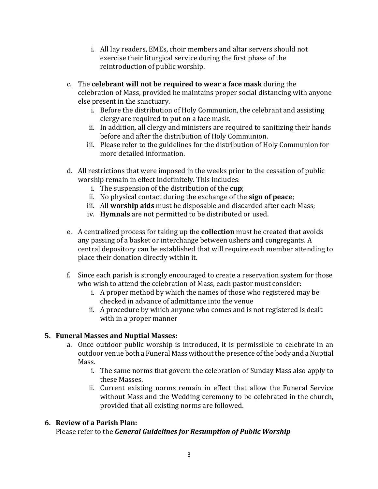- i. All lay readers, EMEs, choir members and altar servers should not exercise their liturgical service during the first phase of the reintroduction of public worship.
- c. The **celebrant will not be required to wear a face mask** during the celebration of Mass, provided he maintains proper social distancing with anyone else present in the sanctuary.
	- i. Before the distribution of Holy Communion, the celebrant and assisting clergy are required to put on a face mask.
	- ii. In addition, all clergy and ministers are required to sanitizing their hands before and after the distribution of Holy Communion.
	- iii. Please refer to the guidelines for the distribution of Holy Communion for more detailed information.
- d. All restrictions that were imposed in the weeks prior to the cessation of public worship remain in effect indefinitely. This includes:
	- i. The suspension of the distribution of the **cup**;
	- ii. No physical contact during the exchange of the **sign of peace**;
	- iii. All worship aids must be disposable and discarded after each Mass;
	- iv. **Hymnals** are not permitted to be distributed or used.
- e. A centralized process for taking up the **collection** must be created that avoids any passing of a basket or interchange between ushers and congregants. A central depository can be established that will require each member attending to place their donation directly within it.
- f. Since each parish is strongly encouraged to create a reservation system for those who wish to attend the celebration of Mass, each pastor must consider:
	- i. A proper method by which the names of those who registered may be checked in advance of admittance into the venue
	- ii. A procedure by which anyone who comes and is not registered is dealt with in a proper manner

# **5. Funeral Masses and Nuptial Masses:**

- a. Once outdoor public worship is introduced, it is permissible to celebrate in an outdoor venue both a Funeral Mass without the presence of the body and a Nuptial Mass.
	- i. The same norms that govern the celebration of Sunday Mass also apply to these Masses.
	- ii. Current existing norms remain in effect that allow the Funeral Service without Mass and the Wedding ceremony to be celebrated in the church, provided that all existing norms are followed.

# **6.** Review of a Parish Plan:

Please refer to the *General Guidelines for Resumption of Public Worship*